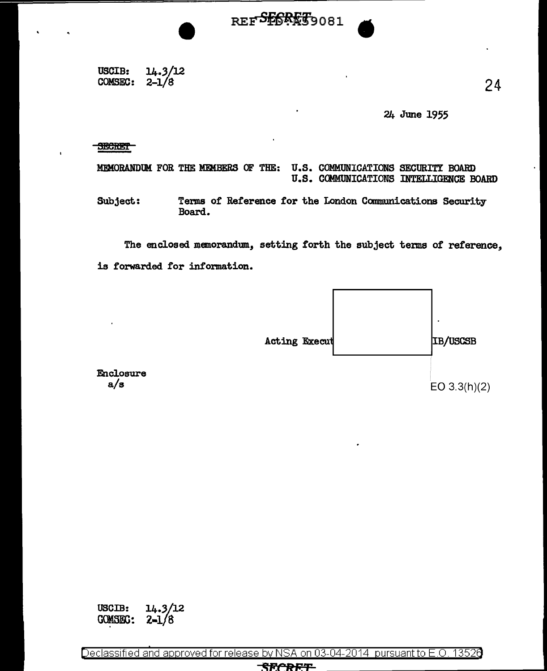USCIB:  $14.3/12$ **COMSEC:**  $2 - 1/8$ 

24 June 1955

#### **SECRET**

U.S. COMMUNICATIONS SECURITY BOARD MEMORANDUM FOR THE MEMBERS OF THE: U.S. COMMUNICATIONS INTELLIGENCE BOARD

REFSESRET9081

Terms of Reference for the London Communications Security Subject: Board.

The enclosed memorandum, setting forth the subject terms of reference, is forwarded for information.



Enclosure  $a/s$ 

 $14.3/12$ USCIB: **COMSEC:**  $2 - 1/8$ 

Declassified and approved for release by NSA on 03-04-2014 pursuant to E.O. 13526

#### **SECREF**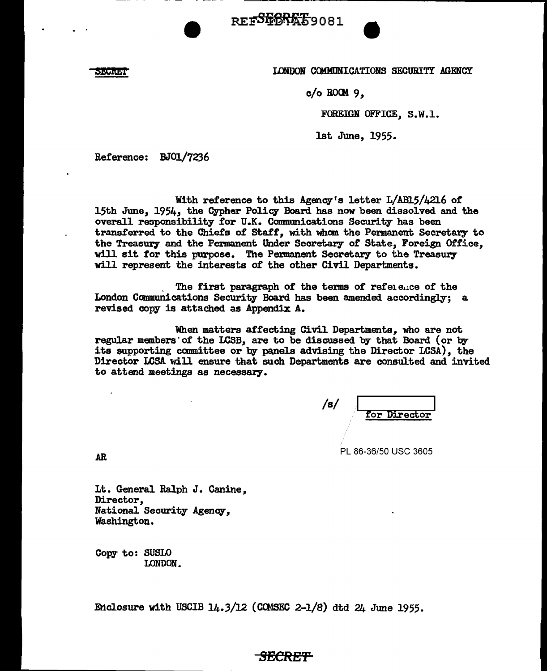REFSEGREE9081

**SECRET** 

LONDON COMMUNICATIONS SECURITY AGENCY

c/o ROCH *9,* 

FOREIGN OFFICE, S.W.1.

1st June, 1955.

Reference: BJ01/7236

With reference to this Agency's letter L/AB15/4216 of 15th June, 1954, the Cypher Policy Board has now been dissolved and the overall responsibility for U.K. Communications Security has been transferred to the Chiefs of Staff, with whom the Permanent Secretary to the Treasury and the Permanent Under Secretary of State, Foreign Office, will sit tor this purpose. The Permanent Secretary to the Treasury will represent the interests of the other Civil Departments.

The first paragraph of the terms of reference of the London Communications Security- Board has been amended accordingly; a revised *cow* is attached as Appendix A.

When matters affecting Civil Departments, who are not regular members of the LCSB, are to be discussed by that Board (or by its supporting committee or by panels advising the Director LCSA), the Director LCSA will ensure that such Departments are consulted and invited to attend meetings as necessary.

/s/ tor Director

PL 86-36/50 USC 3605

AR

Lt. General Ralph J. Canine, Director, National Security- Agency, Washington.

Copy- to: SUSLO LONDON.

Enclosure with USCIB  $14.3/12$  (COMSEC 2-1/8) dtd  $24$  June 1955.

# *SECRET*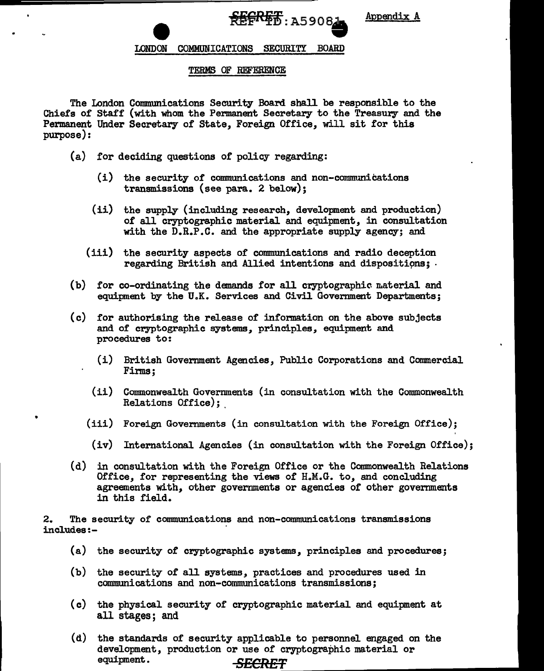**REFREE: A5908** 

Appendix A

# LONDON COMMUNICATIONS SECURITY BOARD

#### TERMS OF REFERENCE

The London Communications Security Board shall be responsible to the Chiefs of Staff (with whom the Permanent Secretary to the Treasury and the Permanent Under Secretary of State, Foreign Office, will sit for this purpose):

(a) for deciding questions of policy regarding:

•

- (i) the security of communications and non-communications transmissions (see para. 2 below);
- (ii) the supply (including research, development and production) of all cryptographic material and equipment, in consultation with the D.R.P.C. and the appropriate supply agency; and
- (iii) the security aspects of communications and radio deception regarding British and Allied intentions and dispositions; .
- (b) for co-ordinating the demands for all cryptographic material and equipment by the U.K. Services and Civil Government Departments;
- (c) for authorising the release of information on the above subjects and of cryptographic systems, principles, equipment and procedures to:
	- (i) British Government Agencies, Public Corporations and Commercial Firms;
	- (ii) Commonwealth Governments (in consultation with the Commonwealth Relations Office);
	- (iii) Foreign Governments (in consultation with the Foreign Office);
	- (iv) International Agencies (in consultation with the Foreign Office);
- (d) in consultation with the Foreign Office or the Commonwealth Relations Office, for representing the views of  $H<sub>n</sub>$ .G. to, and concluding agreements with, other governments or agencies of other governments in this field.

2. The security of communications and non-communications transmissions includes:-

- (a) the security of cryptographic systems, principles and procedures;
- (b) the security of all systems, practices and procedures used in communications and non-communications transmissions;
- (c) the physical security of cryptographic material and equipment at all stages; and
- (d) the standards of security applicable to personnel engaged on the development, production or use of cryptographic material or equipment. SECRET